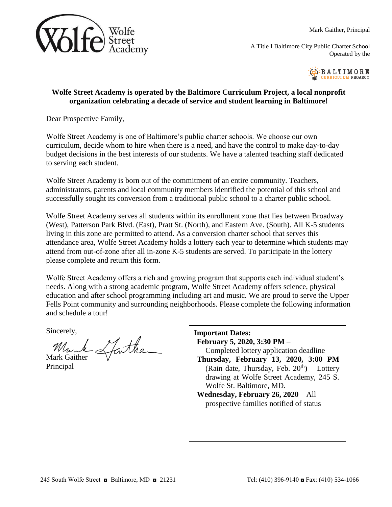

Mark Gaither, Principal

A Title I Baltimore City Public Charter School Operated by the



## **Wolfe Street Academy is operated by the Baltimore Curriculum Project, a local nonprofit organization celebrating a decade of service and student learning in Baltimore!**

Dear Prospective Family,

Wolfe Street Academy is one of Baltimore's public charter schools. We choose our own curriculum, decide whom to hire when there is a need, and have the control to make day-to-day budget decisions in the best interests of our students. We have a talented teaching staff dedicated to serving each student.

Wolfe Street Academy is born out of the commitment of an entire community. Teachers, administrators, parents and local community members identified the potential of this school and successfully sought its conversion from a traditional public school to a charter public school.

Wolfe Street Academy serves all students within its enrollment zone that lies between Broadway (West), Patterson Park Blvd. (East), Pratt St. (North), and Eastern Ave. (South). All K-5 students living in this zone are permitted to attend. As a conversion charter school that serves this attendance area, Wolfe Street Academy holds a lottery each year to determine which students may attend from out-of-zone after all in-zone K-5 students are served. To participate in the lottery please complete and return this form.

Wolfe Street Academy offers a rich and growing program that supports each individual student's needs. Along with a strong academic program, Wolfe Street Academy offers science, physical education and after school programming including art and music. We are proud to serve the Upper Fells Point community and surrounding neighborhoods. Please complete the following information and schedule a tour!

Sincerely,

Munk Sporther

Principal

| <b>Important Dates:</b><br>February 5, 2020, 3:30 PM - |
|--------------------------------------------------------|
| Completed lottery application deadline                 |
| Thursday, February 13, 2020, 3:00 PM                   |
| (Rain date, Thursday, Feb. $20th$ ) – Lottery          |
| drawing at Wolfe Street Academy, 245 S.                |
| Wolfe St. Baltimore, MD.                               |
| Wednesday, February $26$ , $2020 - All$                |
| prospective families notified of status                |
|                                                        |
|                                                        |
|                                                        |